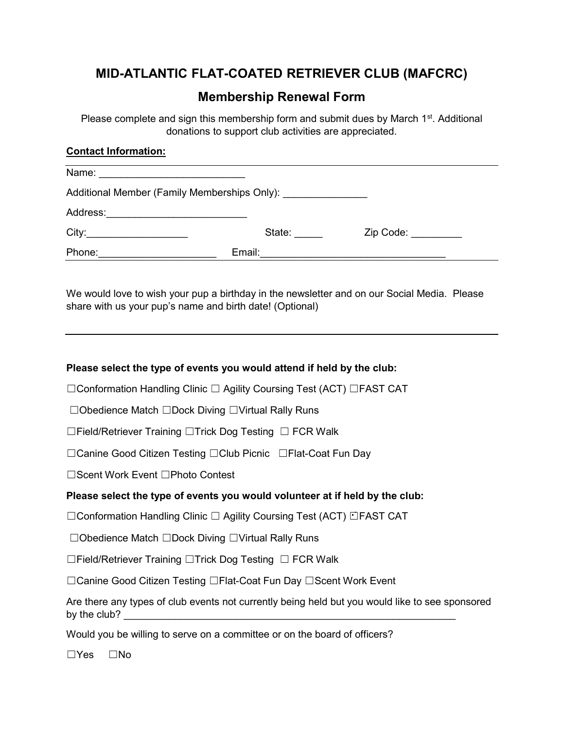# MID-ATLANTIC FLAT-COATED RETRIEVER CLUB (MAFCRC)

# Membership Renewal Form

Please complete and sign this membership form and submit dues by March  $1<sup>st</sup>$ . Additional donations to support club activities are appreciated.

# Contact Information:

| Name:                                                                            |        |           |  |  |
|----------------------------------------------------------------------------------|--------|-----------|--|--|
| Additional Member (Family Memberships Only): ___________________________________ |        |           |  |  |
| Address:                                                                         |        |           |  |  |
| City:                                                                            | State: | Zip Code: |  |  |
| Phone:                                                                           | Email: |           |  |  |

We would love to wish your pup a birthday in the newsletter and on our Social Media. Please share with us your pup's name and birth date! (Optional)

#### Please select the type of events you would attend if held by the club:

☐Conformation Handling Clinic ☐ Agility Coursing Test (ACT) ☐FAST CAT

☐Obedience Match ☐Dock Diving ☐Virtual Rally Runs

☐Field/Retriever Training ☐Trick Dog Testing ☐ FCR Walk

☐Canine Good Citizen Testing ☐Club Picnic ☐Flat-Coat Fun Day

☐Scent Work Event ☐Photo Contest

#### Please select the type of events you would volunteer at if held by the club:

☐Conformation Handling Clinic ☐ Agility Coursing Test (ACT) ☐FAST CAT

☐Obedience Match ☐Dock Diving ☐Virtual Rally Runs

☐Field/Retriever Training ☐Trick Dog Testing ☐ FCR Walk

☐Canine Good Citizen Testing ☐Flat-Coat Fun Day ☐Scent Work Event

Are there any types of club events not currently being held but you would like to see sponsored by the club?

Would you be willing to serve on a committee or on the board of officers?

☐Yes ☐No